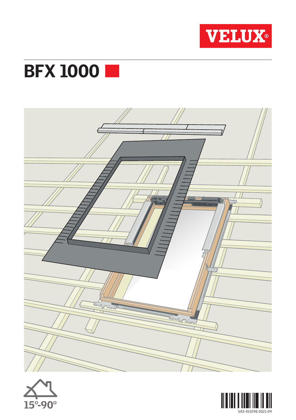

## **BFX 1000**





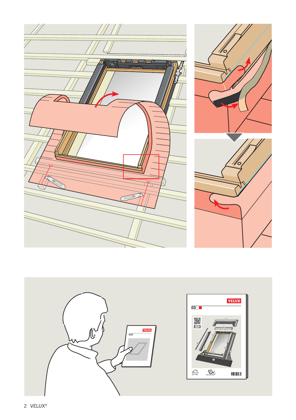





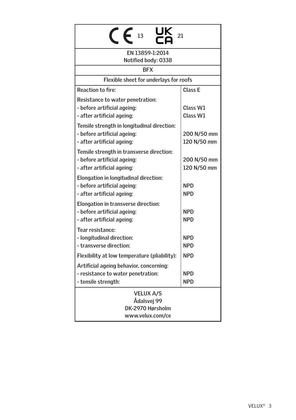| $\bigcap$ $\bigcup$ 13<br>$\cdot$ 21                                                                                                                                                                               |                                                          |
|--------------------------------------------------------------------------------------------------------------------------------------------------------------------------------------------------------------------|----------------------------------------------------------|
| FN 13859-1:2014                                                                                                                                                                                                    |                                                          |
| Notified body: 0338                                                                                                                                                                                                |                                                          |
| <b>BFX</b>                                                                                                                                                                                                         |                                                          |
| Flexible sheet for underlays for roofs                                                                                                                                                                             |                                                          |
| <b>Reaction to fire:</b>                                                                                                                                                                                           | Class E                                                  |
| Resistance to water penetration:<br>- before artificial ageing:<br>- after artificial ageing:                                                                                                                      | Class W1<br>Class W1                                     |
| Tensile strength in longitudinal direction:<br>- before artificial ageing:<br>- after artificial ageing:<br>Tensile strength in transverse direction:<br>- before artificial ageing:<br>- after artificial ageing: | 200 N/50 mm<br>120 N/50 mm<br>200 N/50 mm<br>120 N/50 mm |
| Elongation in longitudinal direction:<br>- before artificial ageing:<br>- after artificial ageing:                                                                                                                 | <b>NPD</b><br><b>NPD</b>                                 |
| Elongation in transverse direction:<br>- before artificial ageing:<br>- after artificial ageing:                                                                                                                   | <b>NPD</b><br><b>NPD</b>                                 |
| Tear resistance:<br>- longitudinal direction:<br>- transverse direction:                                                                                                                                           | <b>NPD</b><br><b>NPD</b>                                 |
| Flexibility at low temperature (pliability):                                                                                                                                                                       | <b>NPD</b>                                               |
| Artificial ageing behavior, concerning:<br>- resistance to water penetration:<br>- tensile strength:                                                                                                               | <b>NPD</b><br><b>NPD</b>                                 |
| <b>VELUX A/S</b><br>Ådalsvej 99<br>DK-2970 Hørsholm<br>www.velux.com/ce                                                                                                                                            |                                                          |